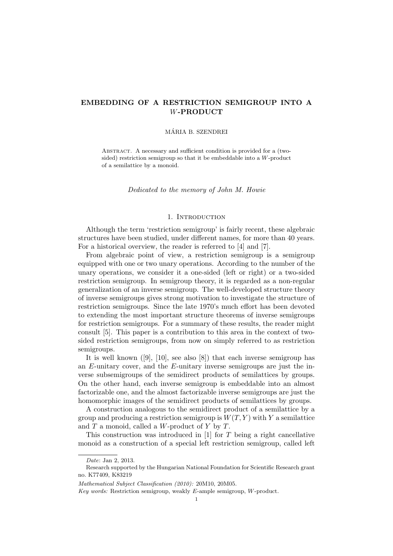# EMBEDDING OF A RESTRICTION SEMIGROUP INTO A W-PRODUCT

# MARIA B. SZENDREI ´

Abstract. A necessary and sufficient condition is provided for a (twosided) restriction semigroup so that it be embeddable into a W-product of a semilattice by a monoid.

Dedicated to the memory of John M. Howie

## 1. Introduction

Although the term 'restriction semigroup' is fairly recent, these algebraic structures have been studied, under different names, for more than 40 years. For a historical overview, the reader is referred to [4] and [7].

From algebraic point of view, a restriction semigroup is a semigroup equipped with one or two unary operations. According to the number of the unary operations, we consider it a one-sided (left or right) or a two-sided restriction semigroup. In semigroup theory, it is regarded as a non-regular generalization of an inverse semigroup. The well-developed structure theory of inverse semigroups gives strong motivation to investigate the structure of restriction semigroups. Since the late 1970's much effort has been devoted to extending the most important structure theorems of inverse semigroups for restriction semigroups. For a summary of these results, the reader might consult [5]. This paper is a contribution to this area in the context of twosided restriction semigroups, from now on simply referred to as restriction semigroups.

It is well known ([9], [10], see also [8]) that each inverse semigroup has an  $E$ -unitary cover, and the  $E$ -unitary inverse semigroups are just the inverse subsemigroups of the semidirect products of semilattices by groups. On the other hand, each inverse semigroup is embeddable into an almost factorizable one, and the almost factorizable inverse semigroups are just the homomorphic images of the semidirect products of semilattices by groups.

A construction analogous to the semidirect product of a semilattice by a group and producing a restriction semigroup is  $W(T, Y)$  with Y a semilattice and  $T$  a monoid, called a  $W$ -product of  $Y$  by  $T$ .

This construction was introduced in [1] for T being a right cancellative monoid as a construction of a special left restriction semigroup, called left

Date: Jan 2, 2013.

Research supported by the Hungarian National Foundation for Scientific Research grant no. K77409, K83219

Mathematical Subject Classification (2010): 20M10, 20M05.

Key words: Restriction semigroup, weakly E-ample semigroup, W-product.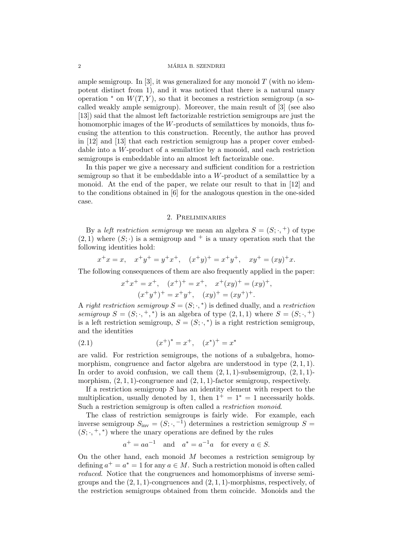ample semigroup. In [3], it was generalized for any monoid  $T$  (with no idempotent distinct from 1), and it was noticed that there is a natural unary operation  $*$  on  $W(T, Y)$ , so that it becomes a restriction semigroup (a socalled weakly ample semigroup). Moreover, the main result of [3] (see also [13]) said that the almost left factorizable restriction semigroups are just the homomorphic images of the  $W$ -products of semilattices by monoids, thus focusing the attention to this construction. Recently, the author has proved in [12] and [13] that each restriction semigroup has a proper cover embeddable into a W-product of a semilattice by a monoid, and each restriction semigroups is embeddable into an almost left factorizable one.

In this paper we give a necessary and sufficient condition for a restriction semigroup so that it be embeddable into a W-product of a semilattice by a monoid. At the end of the paper, we relate our result to that in [12] and to the conditions obtained in [6] for the analogous question in the one-sided case.

# 2. Preliminaries

By a *left restriction semigroup* we mean an algebra  $S = (S; \cdot, +)$  of type  $(2, 1)$  where  $(S; \cdot)$  is a semigroup and <sup>+</sup> is a unary operation such that the following identities hold:

$$
x^+x = x
$$
,  $x^+y^+ = y^+x^+$ ,  $(x^+y)^+ = x^+y^+$ ,  $xy^+ = (xy)^+x$ .

The following consequences of them are also frequently applied in the paper:

$$
x^{+}x^{+} = x^{+}, \quad (x^{+})^{+} = x^{+}, \quad x^{+}(xy)^{+} = (xy)^{+},
$$

$$
(x^{+}y^{+})^{+} = x^{+}y^{+}, \quad (xy)^{+} = (xy^{+})^{+}.
$$

A right restriction semigroup  $S = (S; \cdot,^*)$  is defined dually, and a restriction semigroup  $S = (S; \cdot, +, *)$  is an algebra of type  $(2,1,1)$  where  $S = (S; \cdot, +)$ is a left restriction semigroup,  $S = (S; \cdot,^*)$  is a right restriction semigroup, and the identities

(2.1) 
$$
(x^+)^* = x^+, \quad (x^*)^+ = x^*
$$

are valid. For restriction semigroups, the notions of a subalgebra, homomorphism, congruence and factor algebra are understood in type  $(2, 1, 1)$ . In order to avoid confusion, we call them  $(2, 1, 1)$ -subsemigroup,  $(2, 1, 1)$ morphism,  $(2, 1, 1)$ -congruence and  $(2, 1, 1)$ -factor semigroup, respectively.

If a restriction semigroup  $S$  has an identity element with respect to the multiplication, usually denoted by 1, then  $1^+ = 1^* = 1$  necessarily holds. Such a restriction semigroup is often called a restriction monoid.

The class of restriction semigroups is fairly wide. For example, each inverse semigroup  $S_{\text{inv}} = (S; \cdot, -1)$  determines a restriction semigroup  $S =$  $(S; \cdot, +, *)$  where the unary operations are defined by the rules

$$
a^+ = aa^{-1}
$$
 and  $a^* = a^{-1}a$  for every  $a \in S$ .

On the other hand, each monoid  $M$  becomes a restriction semigroup by defining  $a^+ = a^* = 1$  for any  $a \in M$ . Such a restriction monoid is often called reduced. Notice that the congruences and homomorphisms of inverse semigroups and the  $(2, 1, 1)$ -congruences and  $(2, 1, 1)$ -morphisms, respectively, of the restriction semigroups obtained from them coincide. Monoids and the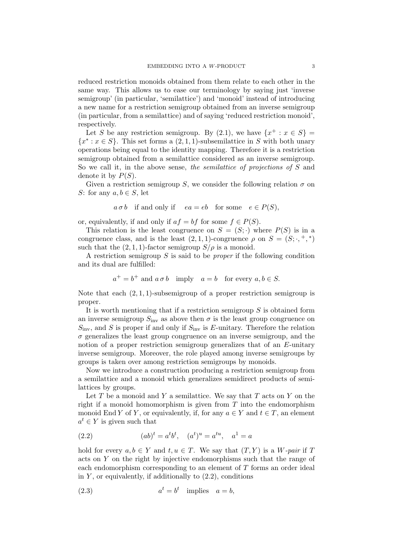reduced restriction monoids obtained from them relate to each other in the same way. This allows us to ease our terminology by saying just 'inverse semigroup' (in particular, 'semilattice') and 'monoid' instead of introducing a new name for a restriction semigroup obtained from an inverse semigroup (in particular, from a semilattice) and of saying 'reduced restriction monoid', respectively.

Let S be any restriction semigroup. By (2.1), we have  $\{x^+ : x \in S\}$  ${x^* : x \in S}$ . This set forms a  $(2, 1, 1)$ -subsemilattice in S with both unary operations being equal to the identity mapping. Therefore it is a restriction semigroup obtained from a semilattice considered as an inverse semigroup. So we call it, in the above sense, the *semilattice* of projections of S and denote it by  $P(S)$ .

Given a restriction semigroup S, we consider the following relation  $\sigma$  on S: for any  $a, b \in S$ , let

$$
a \sigma b
$$
 if and only if  $ea = eb$  for some  $e \in P(S)$ ,

or, equivalently, if and only if  $af = bf$  for some  $f \in P(S)$ .

This relation is the least congruence on  $S = (S; \cdot)$  where  $P(S)$  is in a congruence class, and is the least  $(2,1,1)$ -congruence  $\rho$  on  $S = (S; \cdot, +, *)$ such that the  $(2, 1, 1)$ -factor semigroup  $S/\rho$  is a monoid.

A restriction semigroup  $S$  is said to be *proper* if the following condition and its dual are fulfilled:

$$
a^+ = b^+
$$
 and  $a \sigma b$  imply  $a = b$  for every  $a, b \in S$ .

Note that each  $(2, 1, 1)$ -subsemigroup of a proper restriction semigroup is proper.

It is worth mentioning that if a restriction semigroup S is obtained form an inverse semigroup  $S_{\text{inv}}$  as above then  $\sigma$  is the least group congruence on  $S_{\text{inv}}$ , and S is proper if and only if  $S_{\text{inv}}$  is E-unitary. Therefore the relation  $\sigma$  generalizes the least group congruence on an inverse semigroup, and the notion of a proper restriction semigroup generalizes that of an E-unitary inverse semigroup. Moreover, the role played among inverse semigroups by groups is taken over among restriction semigroups by monoids.

Now we introduce a construction producing a restriction semigroup from a semilattice and a monoid which generalizes semidirect products of semilattices by groups.

Let  $T$  be a monoid and  $Y$  a semilattice. We say that  $T$  acts on  $Y$  on the right if a monoid homomorphism is given from  $T$  into the endomorphism monoid End Y of Y, or equivalently, if, for any  $a \in Y$  and  $t \in T$ , an element  $a^t \in Y$  is given such that

(2.2) 
$$
(ab)^{t} = a^{t}b^{t}, \quad (a^{t})^{u} = a^{tu}, \quad a^{1} = a
$$

hold for every  $a, b \in Y$  and  $t, u \in T$ . We say that  $(T, Y)$  is a W-pair if T acts on Y on the right by injective endomorphisms such that the range of each endomorphism corresponding to an element of T forms an order ideal in  $Y$ , or equivalently, if additionally to  $(2.2)$ , conditions

(2.3) 
$$
a^t = b^t \quad \text{implies} \quad a = b,
$$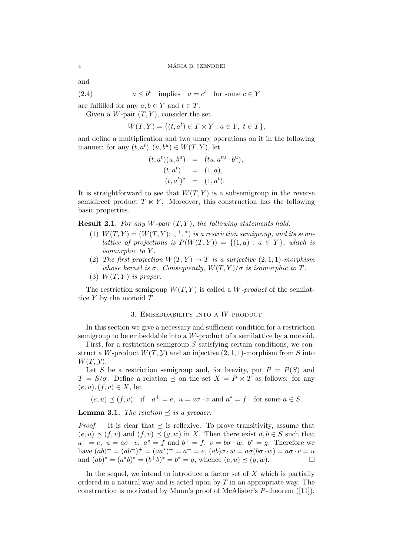and

(2.4) 
$$
a \leq b^t
$$
 implies  $a = c^t$  for some  $c \in Y$ 

are fulfilled for any  $a, b \in Y$  and  $t \in T$ .

Given a W-pair  $(T, Y)$ , consider the set

$$
W(T, Y) = \{ (t, a^t) \in T \times Y : a \in Y, t \in T \},
$$

and define a multiplication and two unary operations on it in the following manner: for any  $(t, a^t), (u, b^u) \in W(T, Y)$ , let

$$
(t, at)(u, bu) = (tu, atu \cdot bu),(t, at)+ = (1, a),(t, at)* = (1, at).
$$

It is straightforward to see that  $W(T, Y)$  is a subsemigroup in the reverse semidirect product  $T \times Y$ . Moreover, this construction has the following basic properties.

**Result 2.1.** For any W-pair  $(T, Y)$ , the following statements hold.

- (1)  $W(T, Y) = (W(T, Y); \cdot, +, *)$  is a restriction semigroup, and its semilattice of projections is  $P(W(T, Y)) = \{(1, a) : a \in Y\}$ , which is isomorphic to Y .
- (2) The first projection  $W(T, Y) \to T$  is a surjective  $(2, 1, 1)$ -morphism whose kernel is  $\sigma$ . Consequently,  $W(T, Y)/\sigma$  is isomorphic to T.
- (3)  $W(T, Y)$  is proper.

The restriction semigroup  $W(T, Y)$  is called a W-product of the semilattice  $Y$  by the monoid  $T$ .

# 3. EMBEDDABILITY INTO A  $W$ -PRODUCT

In this section we give a necessary and sufficient condition for a restriction semigroup to be embeddable into a W-product of a semilattice by a monoid.

First, for a restriction semigroup S satisfying certain conditions, we construct a W-product  $W(T, Y)$  and an injective  $(2, 1, 1)$ -morphism from S into  $W(T, \mathcal{Y}).$ 

Let S be a restriction semigroup and, for brevity, put  $P = P(S)$  and  $T = S/\sigma$ . Define a relation  $\preceq$  on the set  $X = P \times T$  as follows: for any  $(e, u), (f, v) \in X$ , let

 $(e, u) \preceq (f, v)$  if  $a^+ = e$ ,  $u = a\sigma \cdot v$  and  $a^* = f$  for some  $a \in S$ .

**Lemma 3.1.** The relation  $\preceq$  is a preoder.

*Proof.* It is clear that  $\prec$  is reflexive. To prove transitivity, assume that  $(e, u) \preceq (f, v)$  and  $(f, v) \preceq (g, w)$  in X. Then there exist  $a, b \in S$  such that  $a^+ = e$ ,  $u = a\sigma \cdot v$ ,  $a^* = f$  and  $b^+ = f$ ,  $v = b\sigma \cdot w$ ,  $b^* = g$ . Therefore we have  $(ab)^{+} = (ab^{+})^{+} = (aa^{*})^{+} = a^{+} = e$ ,  $(ab)\sigma \cdot w = a\sigma(b\sigma \cdot w) = a\sigma \cdot v = u$ and  $(ab)^* = (a^*b)^* = (b^+b)^* = b^* = g$ , whence  $(e, u) \preceq (g, w)$ .

In the sequel, we intend to introduce a factor set of  $X$  which is partially ordered in a natural way and is acted upon by  $T$  in an appropriate way. The construction is motivated by Munn's proof of McAlister's P-theorem ([11]),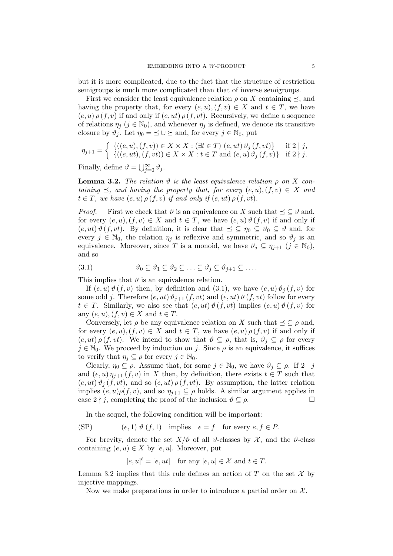but it is more complicated, due to the fact that the structure of restriction semigroups is much more complicated than that of inverse semigroups.

First we consider the least equivalence relation  $\rho$  on X containing  $\preceq$ , and having the property that, for every  $(e, u), (f, v) \in X$  and  $t \in T$ , we have  $(e, u) \rho(f, v)$  if and only if  $(e, ut) \rho(f, vt)$ . Recursively, we define a sequence of relations  $\eta_j$  ( $j \in \mathbb{N}_0$ ), and whenever  $\eta_j$  is defined, we denote its transitive closure by  $\vartheta_j$ . Let  $\eta_0 = \leq \cup \geq$  and, for every  $j \in \mathbb{N}_0$ , put

$$
\eta_{j+1} = \begin{cases} \{((e, u), (f, v)) \in X \times X : (\exists t \in T) \ (e, ut) \ \vartheta_j \ (f, vt) \} & \text{if } 2 \mid j, \\ \{((e, ut), (f, vt)) \in X \times X : t \in T \ \text{and} \ (e, u) \ \vartheta_j \ (f, v) \} & \text{if } 2 \nmid j. \end{cases}
$$

Finally, define  $\vartheta = \bigcup_{j=0}^{\infty} \vartheta_j$ .

**Lemma 3.2.** The relation  $\vartheta$  is the least equivalence relation  $\rho$  on X containing  $\preceq$ , and having the property that, for every  $(e, u), (f, v) \in X$  and  $t \in T$ , we have  $(e, u) \rho(f, v)$  if and only if  $(e, ut) \rho(f, vt)$ .

*Proof.* First we check that  $\vartheta$  is an equivalence on X such that  $\preceq \subseteq \vartheta$  and, for every  $(e, u), (f, v) \in X$  and  $t \in T$ , we have  $(e, u) \vartheta(f, v)$  if and only if  $(e, ut) \vartheta(f, vt)$ . By definition, it is clear that  $\preceq \subseteq \eta_0 \subseteq \vartheta_0 \subseteq \vartheta$  and, for every  $j \in \mathbb{N}_0$ , the relation  $\eta_j$  is reflexive and symmetric, and so  $\vartheta_j$  is an equivalence. Moreover, since T is a monoid, we have  $\vartheta_j \subseteq \eta_{j+1}$   $(j \in \mathbb{N}_0)$ , and so

$$
(3.1) \t\t\t \vartheta_0 \subseteq \vartheta_1 \subseteq \vartheta_2 \subseteq \ldots \subseteq \vartheta_j \subseteq \vartheta_{j+1} \subseteq \ldots.
$$

This implies that  $\vartheta$  is an equivalence relation.

If  $(e, u) \vartheta(f, v)$  then, by definition and  $(3.1)$ , we have  $(e, u) \vartheta_i(f, v)$  for some odd j. Therefore  $(e, ut) \vartheta_{j+1} (f, vt)$  and  $(e, ut) \vartheta(f, vt)$  follow for every  $t \in T$ . Similarly, we also see that  $(e, ut) \vartheta(f, vt)$  implies  $(e, u) \vartheta(f, v)$  for any  $(e, u), (f, v) \in X$  and  $t \in T$ .

Conversely, let  $\rho$  be any equivalence relation on X such that  $\preceq \subseteq \rho$  and, for every  $(e, u), (f, v) \in X$  and  $t \in T$ , we have  $(e, u) \rho(f, v)$  if and only if  $(e, ut) \rho(f, vt)$ . We intend to show that  $\vartheta \subseteq \rho$ , that is,  $\vartheta_i \subseteq \rho$  for every  $j \in \mathbb{N}_0$ . We proceed by induction on j. Since  $\rho$  is an equivalence, it suffices to verify that  $\eta_j \subseteq \rho$  for every  $j \in \mathbb{N}_0$ .

Clearly,  $\eta_0 \subseteq \rho$ . Assume that, for some  $j \in \mathbb{N}_0$ , we have  $\vartheta_j \subseteq \rho$ . If  $2 \mid j$ and  $(e, u) \eta_{i+1}(f, v)$  in X then, by definition, there exists  $t \in T$  such that  $(e, ut) \vartheta_i(f, vt)$ , and so  $(e, ut) \rho(f, vt)$ . By assumption, the latter relation implies  $(e, u)\rho(f, v)$ , and so  $\eta_{j+1} \subseteq \rho$  holds. A similar argument applies in case  $2 \nmid j$ , completing the proof of the inclusion  $\vartheta \subseteq \rho$ .

In the sequel, the following condition will be important:

(SP)  $(e, 1) \vartheta(f, 1)$  implies  $e = f$  for every  $e, f \in P$ .

For brevity, denote the set  $X/\vartheta$  of all  $\vartheta$ -classes by  $\mathcal X$ , and the  $\vartheta$ -class containing  $(e, u) \in X$  by  $[e, u]$ . Moreover, put

$$
[e, u]^t = [e, ut]
$$
 for any  $[e, u] \in \mathcal{X}$  and  $t \in T$ .

Lemma 3.2 implies that this rule defines an action of T on the set  $\mathcal X$  by injective mappings.

Now we make preparations in order to introduce a partial order on  $\mathcal{X}$ .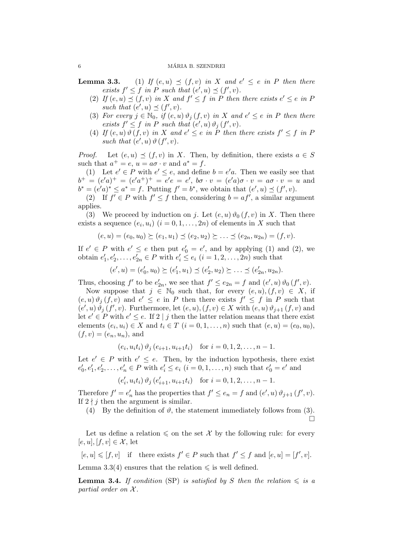### 6 MÁRIA B. SZENDREI

**Lemma 3.3.** (1) If  $(e, u) \preceq (f, v)$  in X and  $e' \preceq e$  in P then there exists  $f' \leq f$  in P such that  $(e', u) \preceq (f', v)$ .

- (2) If  $(e, u) \preceq (f, v)$  in X and  $f' \leq f$  in P then there exists  $e' \leq e$  in F such that  $(e', u) \preceq (f', v)$ .
- (3) For every  $j \in \mathbb{N}_0$ , if  $(e, u) \vartheta_j(f, v)$  in X and  $e' \le e$  in P then there exists  $f' \leq f$  in P such that  $(e', u) \vartheta_j(f', v)$ .
- (4) If  $(e, u) \vartheta(f, v)$  in X and  $e' \leq e$  in P then there exists  $f' \leq f$  in F such that  $(e', u) \vartheta(f', v)$ .

*Proof.* Let  $(e, u) \preceq (f, v)$  in X. Then, by definition, there exists  $a \in S$ such that  $a^+ = e$ ,  $u = a\sigma \cdot v$  and  $a^* = f$ .

(1) Let  $e' \in P$  with  $e' \leq e$ , and define  $b = e'a$ . Then we easily see that  $b^{+} = (e'a)^{+} = (e'a^{+})^{+} = e'e = e', b\sigma \cdot v = (e'a)\sigma \cdot v = a\sigma \cdot v = u$  and  $b^* = (e'a)^* \le a^* = f$ . Putting  $f' = b^*$ , we obtain that  $(e', u) \preceq (f', v)$ .

(2) If  $f' \in P$  with  $f' \leq f$  then, considering  $b = af'$ , a similar argument applies.

(3) We proceed by induction on j. Let  $(e, u) \vartheta_0(f, v)$  in X. Then there exists a sequence  $(e_i, u_i)$   $(i = 0, 1, \ldots, 2n)$  of elements in X such that

$$
(e, u) = (e_0, u_0) \succeq (e_1, u_1) \preceq (e_2, u_2) \succeq \ldots \preceq (e_{2n}, u_{2n}) = (f, v).
$$

If  $e' \in P$  with  $e' \le e$  then put  $e'_0 = e'$ , and by applying (1) and (2), we obtain  $e'_1, e'_2, \ldots, e'_{2n} \in P$  with  $e'_i \leq e_i$   $(i = 1, 2, \ldots, 2n)$  such that

$$
(e', u) = (e'_0, u_0) \succeq (e'_1, u_1) \preceq (e'_2, u_2) \succeq \ldots \preceq (e'_{2n}, u_{2n}).
$$

Thus, choosing  $f'$  to be  $e'_{2n}$ , we see that  $f' \le e_{2n} = f$  and  $(e', u) \vartheta_0(f', v)$ .

Now suppose that  $j \in \mathbb{N}_0$  such that, for every  $(e, u), (f, v) \in X$ , if  $(e, u) \vartheta_j(f, v)$  and  $e' \leq e$  in P then there exists  $f' \leq f$  in P such that  $(e', u) \partial_j (f', v)$ . Furthermore, let  $(e, u), (f, v) \in X$  with  $(e, u) \partial_{j+1} (f, v)$  and let  $e' \in P$  with  $e' \leq e$ . If 2 | j then the latter relation means that there exist elements  $(e_i, u_i) \in X$  and  $t_i \in T$   $(i = 0, 1, \ldots, n)$  such that  $(e, u) = (e_0, u_0)$ ,  $(f, v) = (e_n, u_n)$ , and

$$
(e_i, u_i t_i) \vartheta_j (e_{i+1}, u_{i+1} t_i)
$$
 for  $i = 0, 1, 2, ..., n - 1$ .

Let  $e' \in P$  with  $e' \leq e$ . Then, by the induction hypothesis, there exist  $e'_0, e'_1, e'_2, \ldots, e'_n \in P$  with  $e'_i \le e_i$   $(i = 0, 1, \ldots, n)$  such that  $e'_0 = e'$  and

$$
(e'_i, u_i t_i) \vartheta_j (e'_{i+1}, u_{i+1} t_i)
$$
 for  $i = 0, 1, 2, ..., n-1$ .

Therefore  $f' = e'_n$  has the properties that  $f' \le e_n = f$  and  $(e', u) \vartheta_{j+1}(f', v)$ . If  $2 \nmid j$  then the argument is similar.

(4) By the definition of  $\vartheta$ , the statement immediately follows from (3).

 $\Box$ 

Let us define a relation  $\leq$  on the set X by the following rule: for every  $[e, u], [f, v] \in \mathcal{X}$ , let

 $[e, u] \leqslant [f, v]$  if there exists  $f' \in P$  such that  $f' \leq f$  and  $[e, u] = [f', v]$ . Lemma 3.3(4) ensures that the relation  $\leq$  is well defined.

**Lemma 3.4.** If condition (SP) is satisfied by S then the relation  $\leq$  is a partial order on  $\mathcal{X}$ .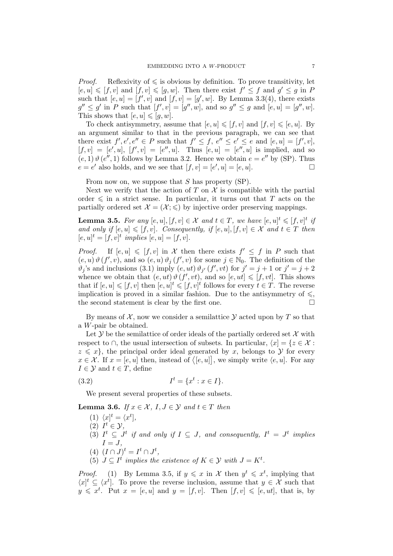*Proof.* Reflexivity of  $\leq$  is obvious by definition. To prove transitivity, let  $[e, u] \leqslant [f, v]$  and  $[f, v] \leqslant [g, w]$ . Then there exist  $f' \leq f$  and  $g' \leq g$  in P such that  $[e, u] = [f', v]$  and  $[f, v] = [g', w]$ . By Lemma 3.3(4), there exists  $g'' \leq g'$  in P such that  $[f', v] = [g'', w]$ , and so  $g'' \leq g$  and  $[e, u] = [g'', w]$ . This shows that  $[e, u] \leqslant [q, w]$ .

To check antisymmetry, assume that  $[e, u] \leqslant [f, v]$  and  $[f, v] \leqslant [e, u]$ . By an argument similar to that in the previous paragraph, we can see that there exist  $f', e', e'' \in P$  such that  $f' \leq f, e'' \leq e' \leq e$  and  $[e, u] = [f', v]$ ,  $[f, v] = [e', u], [f', v] = [e'', u].$  Thus  $[e, u] = [e'', u]$  is implied, and so  $(e, 1)$   $\vartheta$   $(e'', 1)$  follows by Lemma 3.2. Hence we obtain  $e = e''$  by (SP). Thus  $e = e'$  also holds, and we see that  $[f, v] = [e', u] = [e, u]$ .

From now on, we suppose that S has property (SP).

Next we verify that the action of T on  $\mathcal X$  is compatible with the partial order  $\leq$  in a strict sense. In particular, it turns out that T acts on the partially ordered set  $\mathcal{X} = (\mathcal{X}; \leq)$  by injective order preserving mappings.

**Lemma 3.5.** For any  $[e, u], [f, v] \in \mathcal{X}$  and  $t \in T$ , we have  $[e, u]^t \leq [f, v]^t$  if and only if  $[e, u] \leqslant [f, v]$ . Consequently, if  $[e, u]$ ,  $[f, v] \in \mathcal{X}$  and  $t \in T$  then  $[e, u]^t = [f, v]^t$  implies  $[e, u] = [f, v].$ 

*Proof.* If  $[e, u] \leq [f, v]$  in X then there exists  $f' \leq f$  in P such that  $(e, u) \vartheta(f', v)$ , and so  $(e, u) \vartheta_j(f', v)$  for some  $j \in \mathbb{N}_0$ . The definition of the  $\vartheta_j$ 's and inclusions (3.1) imply  $(e, ut) \vartheta_{j'}(f', vt)$  for  $j' = j + 1$  or  $j' = j + 2$ whence we obtain that  $(e, ut) \vartheta(f', vt)$ , and so  $[e, ut] \leq [f, vt]$ . This shows that if  $[e, u] \leqslant [f, v]$  then  $[e, u]^t \leqslant [f, v]^t$  follows for every  $t \in T$ . The reverse implication is proved in a similar fashion. Due to the antisymmetry of  $\leqslant$ , the second statement is clear by the first one.  $\Box$ 

By means of  $\mathcal{X}$ , now we consider a semilattice  $\mathcal{Y}$  acted upon by T so that a W-pair be obtained.

Let  $\mathcal Y$  be the semilattice of order ideals of the partially ordered set  $\mathcal X$  with respect to ∩, the usual intersection of subsets. In particular,  $\langle x | = \{z \in \mathcal{X} :$  $z \leqslant x$ , the principal order ideal generated by x, belongs to Y for every  $x \in \mathcal{X}$ . If  $x = [e, u]$  then, instead of  $\langle [e, u] \rangle$ , we simply write  $\langle e, u \rangle$ . For any  $I \in \mathcal{Y}$  and  $t \in T$ , define

(3.2) 
$$
I^t = \{x^t : x \in I\}.
$$

We present several properties of these subsets.

**Lemma 3.6.** If  $x \in \mathcal{X}$ ,  $I, J \in \mathcal{Y}$  and  $t \in T$  then

- (1)  $\langle x|^{t} = \langle x^{t} |,$
- (2)  $I^t \in \mathcal{Y}$ ,
- (3)  $I^t \subseteq J^t$  if and only if  $I \subseteq J$ , and consequently,  $I^t = J^t$  implies  $I = J$ ,
- (4)  $(I \cap J)^t = I^t \cap J^t$ ,
- (5)  $J \subseteq I^t$  implies the existence of  $K \in \mathcal{Y}$  with  $J = K^t$ .

*Proof.* (1) By Lemma 3.5, if  $y \leq x$  in X then  $y^t \leq x^t$ , implying that  $\langle x^{\dagger} \subseteq \langle x^t \rangle$ . To prove the reverse inclusion, assume that  $y \in \mathcal{X}$  such that  $y \leq x^t$ . Put  $x = [e, u]$  and  $y = [f, v]$ . Then  $[f, v] \leq [e, ut]$ , that is, by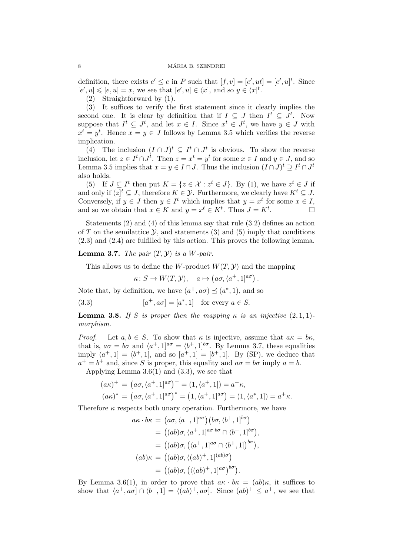definition, there exists  $e' \leq e$  in P such that  $[f, v] = [e', ut] = [e', u]$ <sup>t</sup>. Since  $[e', u] \leqslant [e, u] = x$ , we see that  $[e', u] \in \langle x]$ , and so  $y \in \langle x]$ <sup>t</sup>.

(2) Straightforward by (1).

(3) It suffices to verify the first statement since it clearly implies the second one. It is clear by definition that if  $I \subseteq J$  then  $I^t \subseteq J^t$ . Now suppose that  $I^t \subseteq J^t$ , and let  $x \in I$ . Since  $x^t \in J^t$ , we have  $y \in J$  with  $x^t = y^t$ . Hence  $x = y \in J$  follows by Lemma 3.5 which verifies the reverse implication.

(4) The inclusion  $(I \cap J)^t \subseteq I^t \cap J^t$  is obvious. To show the reverse inclusion, let  $z \in I^t \cap J^t$ . Then  $z = x^t = y^t$  for some  $x \in I$  and  $y \in J$ , and so Lemma 3.5 implies that  $x = y \in I \cap J$ . Thus the inclusion  $(I \cap J)^t \supseteq I^t \cap J^t$ also holds.

(5) If  $J \subseteq I^t$  then put  $K = \{z \in \mathcal{X} : z^t \in J\}$ . By (1), we have  $z^t \in J$  if and only if  $\langle z |^{t} \subseteq J$ , therefore  $K \in \mathcal{Y}$ . Furthermore, we clearly have  $K^{t} \subseteq J$ . Conversely, if  $y \in J$  then  $y \in I^t$  which implies that  $y = x^t$  for some  $x \in I$ , and so we obtain that  $x \in K$  and  $y = x^t \in K^t$ . Thus  $J = K^t$ .

Statements (2) and (4) of this lemma say that rule (3.2) defines an action of T on the semilattice  $\mathcal Y$ , and statements (3) and (5) imply that conditions (2.3) and (2.4) are fulfilled by this action. This proves the following lemma.

**Lemma 3.7.** The pair  $(T, Y)$  is a W-pair.

This allows us to define the W-product  $W(T, Y)$  and the mapping

 $\kappa: S \to W(T, \mathcal{Y}), \quad a \mapsto (a\sigma, \langle a^+, 1]^{a\sigma}).$ 

Note that, by definition, we have  $(a^+, a\sigma) \preceq (a^*, 1)$ , and so

(3.3) 
$$
[a^+, a\sigma] = [a^*, 1] \text{ for every } a \in S.
$$

**Lemma 3.8.** If S is proper then the mapping  $\kappa$  is an injective  $(2,1,1)$ morphism.

*Proof.* Let  $a, b \in S$ . To show that  $\kappa$  is injective, assume that  $a\kappa = b\kappa$ . that is,  $a\sigma = b\sigma$  and  $\langle a^+, 1]^{a\sigma} = \langle b^+, 1]^{b\sigma}$ . By Lemma 3.7, these equalities imply  $\langle a^+, 1] = \langle b^+, 1]$ , and so  $[a^+, 1] = [b^+, 1]$ . By (SP), we deduce that  $a^+ = b^+$  and, since S is proper, this equality and  $a\sigma = b\sigma$  imply  $a = b$ . Applying Lemma  $3.6(1)$  and  $(3.3)$ , we see that

$$
(a\kappa)^+ = (a\sigma, \langle a^+, 1 \rangle^{a\sigma})^+ = (1, \langle a^+, 1 \rangle) = a^+\kappa,
$$
  

$$
(a\kappa)^* = (a\sigma, \langle a^+, 1 \rangle^{a\sigma})^* = (1, \langle a^+, 1 \rangle^{a\sigma}) = (1, \langle a^*, 1 \rangle) = a^+\kappa.
$$

Therefore  $\kappa$  respects both unary operation. Furthermore, we have

$$
a\kappa \cdot b\kappa = (a\sigma, \langle a^+, 1]^{a\sigma} (b\sigma, \langle b^+, 1]^{b\sigma})
$$
  
\n
$$
= ((ab)\sigma, \langle a^+, 1]^{a\sigma \cdot b\sigma} \cap \langle b^+, 1]^{b\sigma}),
$$
  
\n
$$
= ((ab)\sigma, (\langle a^+, 1]^{a\sigma} \cap \langle b^+, 1]^{b\sigma}),
$$
  
\n
$$
(ab)\kappa = ((ab)\sigma, (\langle ab)^+, 1]^{(ab)\sigma})
$$
  
\n
$$
= ((ab)\sigma, (\langle (ab)^+, 1]^{a\sigma})^{b\sigma}).
$$

By Lemma 3.6(1), in order to prove that  $a\kappa \cdot b\kappa = (ab)\kappa$ , it suffices to show that  $\langle a^+, a\sigma \rangle \cap \langle b^+, 1] = \langle (ab)^+, a\sigma \rangle$ . Since  $(ab)^+ \leq a^+$ , we see that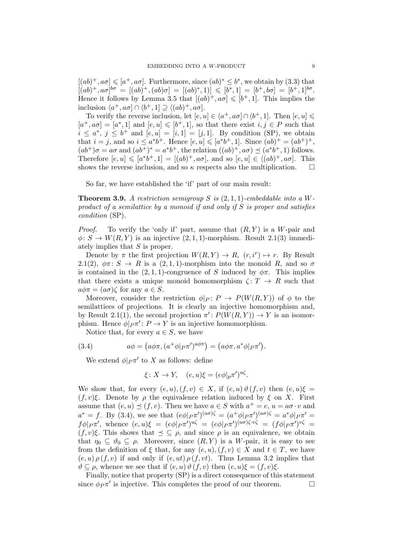$[(ab)^+, a\sigma] \leq a^+, a\sigma]$ . Furthermore, since  $(ab)^* \leq b^*$ , we obtain by (3.3) that  $[(ab)^+, a\sigma]^{b\sigma} = [(ab)^+, (ab)\sigma] = [(ab)^*, 1)] \leqslant [b^*, 1] = [b^+, b\sigma] = [b^+, 1]^{b\sigma}.$ Hence it follows by Lemma 3.5 that  $[(ab)^+, a\sigma] \leqslant [b^+, 1]$ . This implies the inclusion  $\langle a^+, a\sigma \rangle \cap \langle b^+, 1 \rangle \supseteq \langle (ab)^+, a\sigma \rangle$ .

To verify the reverse inclusion, let  $[e, u] \in \langle a^+, a\sigma] \cap \langle b^+, 1]$ . Then  $[e, u] \leq$  $[a^+, a\sigma] = [a^*, 1]$  and  $[e, u] \leq [b^+, 1]$ , so that there exist  $i, j \in P$  such that  $i \leq a^*, j \leq b^+$  and  $[e, u] = [i, 1] = [j, 1]$ . By condition (SP), we obtain that  $i = j$ , and so  $i \le a^*b^+$ . Hence  $[e, u] \leq a^*b^+$ , 1. Since  $(ab)^+ = (ab^+)^+$ ,  $(ab^{+})\sigma = a\sigma$  and  $(ab^{+})^* = a^*b^+$ , the relation  $((ab)^+, a\sigma) \preceq (a^*b^+, 1)$  follows. Therefore  $[e, u] \leq a^*b^+, 1] = [(ab)^+, a\sigma]$ , and so  $[e, u] \in \langle (ab)^+, a\sigma]$ . This shows the reverse inclusion, and so  $\kappa$  respects also the multiplication.  $\Box$ 

So far, we have established the 'if' part of our main result:

**Theorem 3.9.** A restriction semigroup S is  $(2,1,1)$ -embeddable into a Wproduct of a semilattice by a monoid if and only if S is proper and satisfies condition (SP).

*Proof.* To verify the 'only if' part, assume that  $(R, Y)$  is a W-pair and  $\phi: S \to W(R, Y)$  is an injective  $(2, 1, 1)$ -morphism. Result 2.1(3) immediately implies that S is proper.

Denote by  $\pi$  the first projection  $W(R, Y) \to R$ ,  $(r, i^r) \mapsto r$ . By Result 2.1(2),  $\phi \pi : S \to R$  is a (2, 1, 1)-morphism into the monoid R, and so  $\sigma$ is contained in the  $(2, 1, 1)$ -congruence of S induced by  $\phi \pi$ . This implies that there exists a unique monoid homomorphism  $\zeta: T \to R$  such that  $a\phi\pi = (a\sigma)\zeta$  for any  $a \in S$ .

Moreover, consider the restriction  $\phi|_P: P \to P(W(R, Y))$  of  $\phi$  to the semilattices of projections. It is clearly an injective homomorphism and, by Result 2.1(1), the second projection  $\pi' : P(W(R, Y)) \to Y$  is an isomorphism. Hence  $\phi|_{P}\pi' : P \to Y$  is an injective homomorphism.

Notice that, for every  $a \in S$ , we have

(3.4) 
$$
a\phi = \left(a\phi\pi, \left(a^+\phi\middle|_{P}\pi'\right)^{a\phi\pi}\right) = \left(a\phi\pi, a^*\phi\middle|_{P}\pi'\right).
$$

We extend  $\phi|_P \pi'$  to X as follows: define

$$
\xi \colon X \to Y, \quad (e, u)\xi = (e\phi|_p \pi')^{u\xi}.
$$

We show that, for every  $(e, u), (f, v) \in X$ , if  $(e, u) \vartheta(f, v)$  then  $(e, u)\xi =$  $(f, v)\xi$ . Denote by  $\rho$  the equivalence relation induced by  $\xi$  on X. First assume that  $(e, u) \preceq (f, v)$ . Then we have  $a \in S$  with  $a^+ = e$ ,  $u = a\sigma \cdot v$  and  $a^* = f$ . By (3.4), we see that  $(e\phi|_{P}\pi')^{(a\sigma)\zeta} = (a^+\phi|_{P}\pi')^{(a\sigma)\zeta} = a^*\phi|_{P}\pi' =$  $f\phi|_{P}\pi'$ , whence  $(e, u)\xi = (e\phi|_{P}\pi')^{u\xi} = (e\phi|_{P}\pi')^{(a\sigma)\zeta \cdot v\zeta} = (f\phi|_{P}\pi')^{v\zeta} =$  $(f, v)\xi$ . This shows that  $\leq \subseteq \rho$ , and since  $\rho$  is an equivalence, we obtain that  $\eta_0 \subseteq \vartheta_0 \subseteq \rho$ . Moreover, since  $(R, Y)$  is a W-pair, it is easy to see from the definition of  $\xi$  that, for any  $(e, u), (f, v) \in X$  and  $t \in T$ , we have  $(e, u) \rho(f, v)$  if and only if  $(e, ut) \rho(f, vt)$ . Thus Lemma 3.2 implies that  $\vartheta \subseteq \rho$ , whence we see that if  $(e, u) \vartheta(f, v)$  then  $(e, u)\xi = (f, v)\xi$ .

Finally, notice that property (SP) is a direct consequence of this statement since  $\phi_P \pi'$  is injective. This completes the proof of our theorem.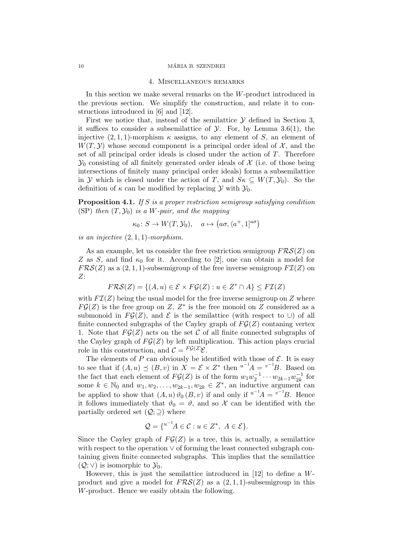### 10 MÁRIA B. SZENDREI

### 4. Miscellaneous remarks

In this section we make several remarks on the W-product introduced in the previous section. We simplify the construction, and relate it to constructions introduced in [6] and [12].

First we notice that, instead of the semilattice  $\mathcal Y$  defined in Section 3. it suffices to consider a subsemilattice of  $\mathcal Y$ . For, by Lemma 3.6(1), the injective  $(2, 1, 1)$ -morphism  $\kappa$  assigns, to any element of S, an element of  $W(T, Y)$  whose second component is a principal order ideal of X, and the set of all principal order ideals is closed under the action of  $T$ . Therefore  $\mathcal{Y}_0$  consisting of all finitely generated order ideals of  $\mathcal X$  (i.e. of those being intersections of finitely many principal order ideals) forms a subsemilattice in Y which is closed under the action of T, and  $S_{\kappa} \subseteq W(T, Y_0)$ . So the definition of  $\kappa$  can be modified by replacing  $\mathcal Y$  with  $\mathcal Y_0$ .

**Proposition 4.1.** If S is a proper restriction semigroup satisfying condition (SP) then  $(T, \mathcal{Y}_0)$  is a W-pair, and the mapping

$$
\kappa_0 \colon S \to W(T, \mathcal{Y}_0), \quad a \mapsto \left(a\sigma, \langle a^+, 1 \right]^{a\sigma}\right)
$$

is an injective (2, 1, 1)-morphism.

As an example, let us consider the free restriction semigroup  $FRS(Z)$  on Z as S, and find  $\kappa_0$  for it. According to [2], one can obtain a model for  $FRS(Z)$  as a  $(2,1,1)$ -subsemigroup of the free inverse semigroup  $FZ(Z)$  on Z:

$$
FRS(Z) = \{(A, u) \in \mathcal{E} \times F\mathcal{G}(Z) : u \in Z^* \cap A\} \leq F\mathcal{I}(Z)
$$

with  $FZ(Z)$  being the usual model for the free inverse semigroup on Z where  $FG(Z)$  is the free group on Z,  $Z^*$  is the free monoid on Z considered as a submonoid in  $FG(Z)$ , and  $\mathcal E$  is the semilattice (with respect to ∪) of all finite connected subgraphs of the Cayley graph of  $FG(Z)$  contaning vertex 1. Note that  $FG(Z)$  acts on the set C of all finite connected subgraphs of the Cayley graph of  $FG(Z)$  by left multiplication. This action plays crucial role in this construction, and  $\mathcal{C} = F\mathcal{G}(Z)\mathcal{E}$ .

The elements of  $P$  can obviously be identified with those of  $\mathcal E$ . It is easy to see that if  $(A, u) \preceq (B, v)$  in  $X = \mathcal{E} \times Z^*$  then  $u^{-1}A = v^{-1}B$ . Based on the fact that each element of  $F{\cal G}(Z)$  is of the form  $w_1w_2^{-1}\cdots w_{2k-1}w_{2k}^{-1}$  $\frac{-1}{2k}$  for some  $k \in \mathbb{N}_0$  and  $w_1, w_2, \ldots, w_{2k-1}, w_{2k} \in Z^*$ , an inductive argument can be applied to show that  $(A, u) \vartheta_0 (B, v)$  if and only if  $u^{-1}A = v^{-1}B$ . Hence it follows immediately that  $\vartheta_0 = \vartheta$ , and so X can be identified with the partially ordered set  $(Q; \supseteq)$  where

$$
\mathcal{Q} = \{^{u^{-1}}A \in \mathcal{C} : u \in Z^*, \ A \in \mathcal{E}\}.
$$

Since the Cayley graph of  $FG(Z)$  is a tree, this is, actually, a semilattice with respect to the operation ∨ of forming the least connected subgraph containing given finite connected subgraphs. This implies that the semilattice  $(Q; V)$  is isomorphic to  $\mathcal{Y}_0$ .

However, this is just the semilattice introduced in [12] to define a Wproduct and give a model for  $FRS(Z)$  as a  $(2,1,1)$ -subsemigroup in this W-product. Hence we easily obtain the following.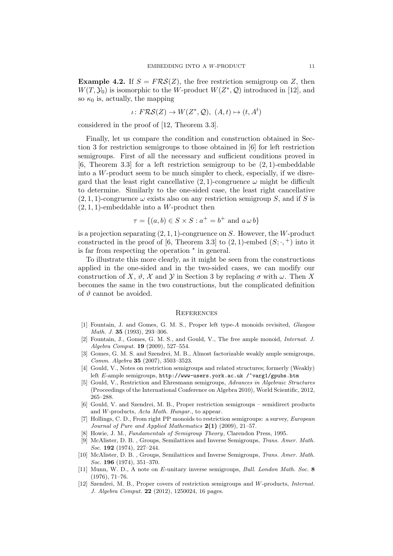**Example 4.2.** If  $S = FRS(Z)$ , the free restriction semigroup on Z, then  $W(T, Y_0)$  is isomorphic to the W-product  $W(Z^*, Q)$  introduced in [12], and so  $\kappa_0$  is, actually, the mapping

$$
\iota \colon F\mathcal{RS}(Z) \to W(Z^*, \mathcal{Q}), \ (A, t) \mapsto (t, A^t)
$$

considered in the proof of [12, Theorem 3.3].

Finally, let us compare the condition and construction obtained in Section 3 for restriction semigroups to those obtained in [6] for left restriction semigroups. First of all the necessary and sufficient conditions proved in [6, Theorem 3.3] for a left restriction semigroup to be  $(2, 1)$ -embeddable into a W-product seem to be much simpler to check, especially, if we disregard that the least right cancellative  $(2, 1)$ -congruence  $\omega$  might be difficult to determine. Similarly to the one-sided case, the least right cancellative  $(2, 1, 1)$ -congruence  $\omega$  exists also on any restriction semigroup S, and if S is  $(2, 1, 1)$ -embeddable into a W-product then

$$
\tau = \{(a, b) \in S \times S : a^+ = b^+ \text{ and } a \omega b\}
$$

is a projection separating  $(2, 1, 1)$ -congruence on S. However, the W-product constructed in the proof of [6, Theorem 3.3] to  $(2,1)$ -embed  $(S; \cdot, +)$  into it is far from respecting the operation <sup>∗</sup> in general.

To illustrate this more clearly, as it might be seen from the constructions applied in the one-sided and in the two-sided cases, we can modify our construction of X,  $\vartheta$ , X and Y in Section 3 by replacing  $\sigma$  with  $\omega$ . Then X becomes the same in the two constructions, but the complicated definition of  $\vartheta$  cannot be avoided.

## **REFERENCES**

- [1] Fountain, J. and Gomes, G. M. S., Proper left type-A monoids revisited, Glasgow Math. J. 35 (1993), 293–306.
- [2] Fountain, J., Gomes, G. M. S., and Gould, V., The free ample monoid, Internat. J. Algebra Comput. 19 (2009), 527–554.
- [3] Gomes, G. M. S. and Szendrei, M. B., Almost factorizable weakly ample semigroups, Comm. Algebra 35 (2007), 3503–3523.
- [4] Gould, V., Notes on restriction semigroups and related structures; formerly (Weakly) left E-ample semigroups,  $http://www-users.york.ac.uk/~varg1/gpubs.htm$
- [5] Gould, V., Restriction and Ehresmann semigroups, Advances in Algebraic Structures (Proceedings of the International Conference on Algebra 2010), World Scientific, 2012, 265–288.
- [6] Gould, V. and Szendrei, M. B., Proper restriction semigroups semidirect products and W-products, Acta Math. Hungar., to appear.
- [7] Hollings, C. D., From right PP monoids to restriction semigroups: a survey, European Journal of Pure and Applied Mathematics 2(1) (2009), 21–57.
- [8] Howie, J. M., Fundamentals of Semigroup Theory, Clarendon Press, 1995.
- [9] McAlister, D. B. , Groups, Semilattices and Inverse Semigroups, Trans. Amer. Math. Soc. **192** (1974), 227-244.
- [10] McAlister, D. B. , Groups, Semilattices and Inverse Semigroups, Trans. Amer. Math. Soc. **196** (1974), 351-370.
- [11] Munn, W. D., A note on E-unitary inverse semigroups, Bull. London Math. Soc. 8 (1976), 71–76.
- [12] Szendrei, M. B., Proper covers of restriction semigroups and W-products, Internat. J. Algebra Comput. 22 (2012), 1250024, 16 pages.